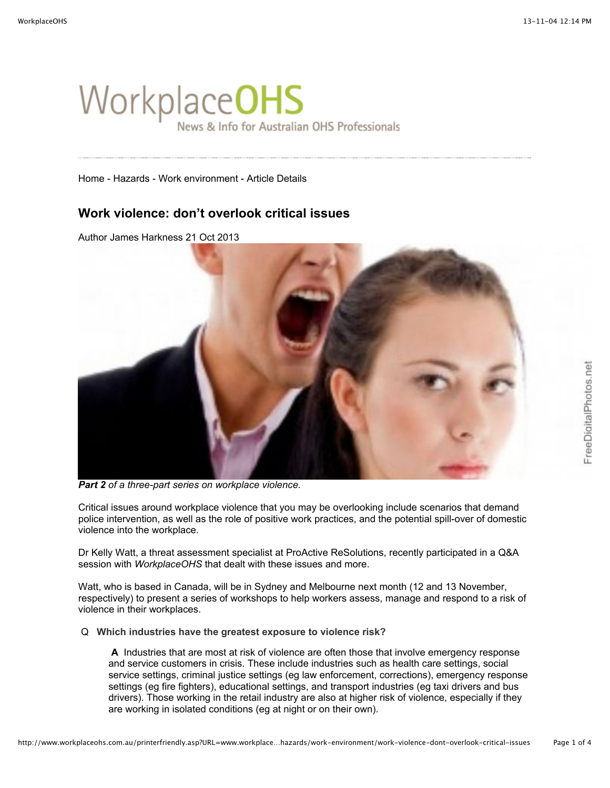# WorkplaceOHS News & Info for Australian OHS Professionals

[Home](http://www.workplaceohs.com.au/default.asp) - [Hazards](http://www.workplaceohs.com.au/hazards/) - [Work environment](http://www.workplaceohs.com.au/hazards/work-environment/) - Article Details

# **Work violence: don't overlook critical issues**

Author [James Harkness](http://www.workplaceohs.com.au/analystdetail.asp?ID=46) 21 Oct 2013



*Part 2 of a three-part series on workplace violence.*

Critical issues around workplace violence that you may be overlooking include scenarios that demand police intervention, as well as the role of positive work practices, and the potential spill-over of domestic violence into the workplace.

Dr Kelly Watt, a threat assessment specialist at [ProActive ReSolutions,](http://www.proactive-resolutions.com/) recently participated in a Q&A session with *WorkplaceOHS* that dealt with these issues and more.

Watt, who is based in Canada, will be in Sydney and Melbourne next month (12 and 13 November, respectively) to present a series of workshops to help workers assess, manage and respond to a risk of violence in their workplaces.

Q **Which industries have the greatest exposure to violence risk?**

 **A** Industries that are most at risk of violence are often those that involve emergency response and service customers in crisis. These include industries such as health care settings, social service settings, criminal justice settings (eg law enforcement, corrections), emergency response settings (eg fire fighters), educational settings, and transport industries (eg taxi drivers and bus drivers). Those working in the retail industry are also at higher risk of violence, especially if they are working in isolated conditions (eg at night or on their own).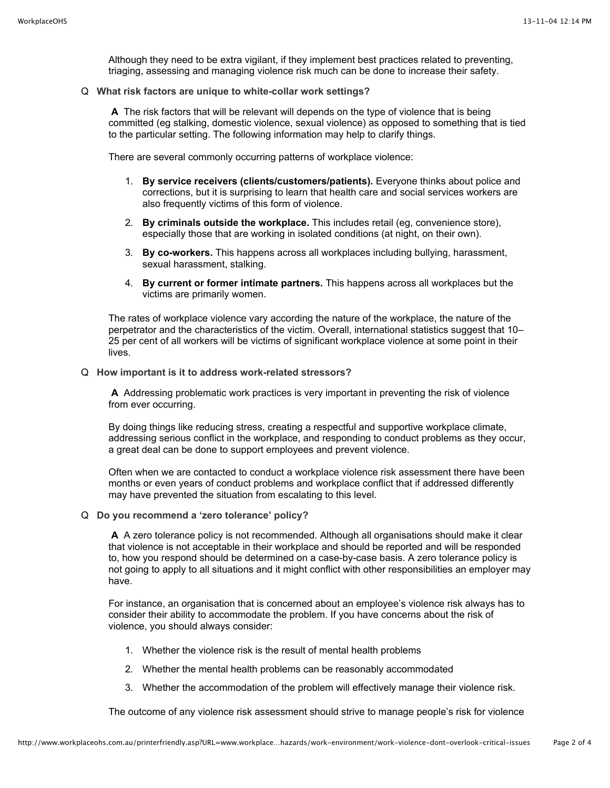Although they need to be extra vigilant, if they implement best practices related to preventing, [triaging,](http://www.workplaceohs.com.au/hazards/work-environment/triage-needed-to-combat-workplace-violence) assessing and managing violence risk much can be done to increase their safety.

Q **What risk factors are unique to white-collar work settings?** 

 **A** The risk factors that will be relevant will depends on the type of violence that is being committed (eg stalking, domestic violence, sexual violence) as opposed to something that is tied to the particular setting. The following information may help to clarify things.

There are several commonly occurring patterns of workplace violence:

- 1. **By service receivers (clients/customers/patients).** Everyone thinks about police and corrections, but it is surprising to learn that health care and social services workers are also frequently victims of this form of violence.
- 2. **By criminals outside the workplace.** This includes retail (eg, convenience store), especially those that are working in isolated conditions (at night, on their own).
- 3. **By co-workers.** This happens across all workplaces including bullying, harassment, sexual harassment, stalking.
- 4. **By current or former intimate partners.** This happens across all workplaces but the victims are primarily women.

The rates of workplace violence vary according the nature of the workplace, the nature of the perpetrator and the characteristics of the victim. Overall, international statistics suggest that 10– 25 per cent of all workers will be victims of significant workplace violence at some point in their lives.

Q **How important is it to address work-related stressors?** 

 **A** Addressing problematic work practices is very important in preventing the risk of violence from ever occurring.

By doing things like reducing stress, creating a respectful and supportive workplace climate, addressing serious conflict in the workplace, and responding to conduct problems as they occur, a great deal can be done to support employees and prevent violence.

Often when we are contacted to conduct a workplace violence risk assessment there have been months or even years of conduct problems and workplace conflict that if addressed differently may have prevented the situation from escalating to this level.

Q **Do you recommend a 'zero tolerance' policy?** 

 **A** A zero tolerance policy is not recommended. Although all organisations should make it clear that violence is not acceptable in their workplace and should be reported and will be responded to, how you respond should be determined on a case-by-case basis. A zero tolerance policy is not going to apply to all situations and it might conflict with other responsibilities an employer may have.

For instance, an organisation that is concerned about an employee's violence risk always has to consider their ability to accommodate the problem. If you have concerns about the risk of violence, you should always consider:

- 1. Whether the violence risk is the result of mental health problems
- 2. Whether the mental health problems can be reasonably accommodated
- 3. Whether the accommodation of the problem will effectively manage their violence risk.

The outcome of any violence risk assessment should strive to manage people's risk for violence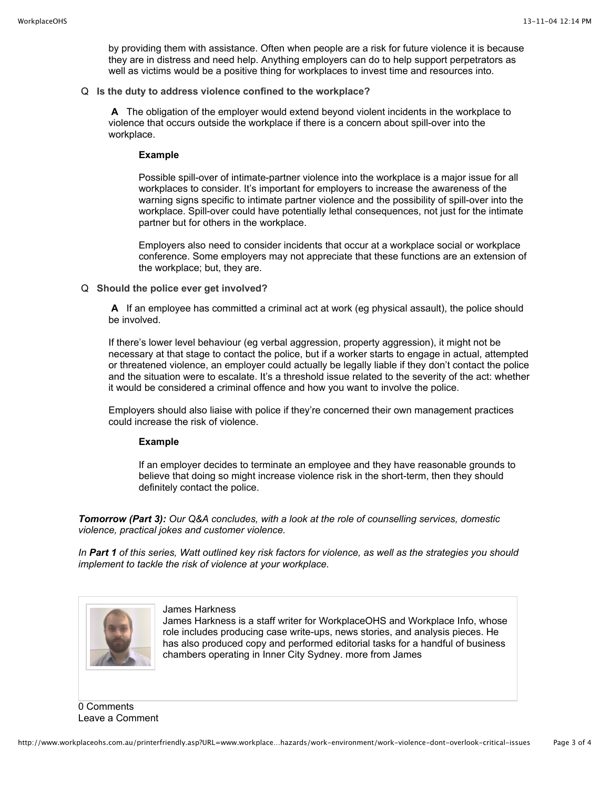by providing them with assistance. Often when people are a risk for future violence it is because they are in distress and need help. Anything employers can do to help support perpetrators as well as victims would be a positive thing for workplaces to invest time and resources into.

Q **Is the duty to address violence confined to the workplace?**

 **A** The obligation of the employer would extend beyond violent incidents in the workplace to violence that occurs outside the workplace if there is a concern about spill-over into the workplace.

#### **Example**

Possible spill-over of intimate-partner violence into the workplace is a major issue for all workplaces to consider. It's important for employers to increase the awareness of the warning signs specific to intimate partner violence and the possibility of spill-over into the workplace. Spill-over could have potentially lethal consequences, not just for the intimate partner but for others in the workplace.

Employers also need to consider incidents that occur at a workplace social or workplace conference. Some employers may not appreciate that these functions are an extension of the workplace; but, they are.

Q **Should the police ever get involved?**

 **A** If an employee has committed a criminal act at work (eg physical assault), the police should be involved.

If there's lower level behaviour (eg verbal aggression, property aggression), it might not be necessary at that stage to contact the police, but if a worker starts to engage in actual, attempted or threatened violence, an employer could actually be legally liable if they don't contact the police and the situation were to escalate. It's a threshold issue related to the severity of the act: whether it would be considered a criminal offence and how you want to involve the police.

Employers should also liaise with police if they're concerned their own management practices could increase the risk of violence.

## **Example**

If an employer decides to terminate an employee and they have reasonable grounds to believe that doing so might increase violence risk in the short-term, then they should definitely contact the police.

*Tomorrow (Part 3): Our Q&A concludes, with a look at the role of counselling services, domestic violence, practical jokes and customer violence.* 

*In [Part 1](http://www.workplaceohs.com.au/hazards/work-environment/triage-needed-to-combat-workplace-violence) of this series, Watt outlined key risk factors for violence, as well as the strategies you should implement to tackle the risk of violence at your workplace.*



James Harkness

James Harkness is a staff writer for WorkplaceOHS and Workplace Info, whose role includes producing case write-ups, news stories, and analysis pieces. He has also produced copy and performed editorial tasks for a handful of business chambers operating in Inner City Sydney. [more from James](http://www.workplaceohs.com.au/analystdetail.asp?ID=46)

0 Comments Leave a Comment